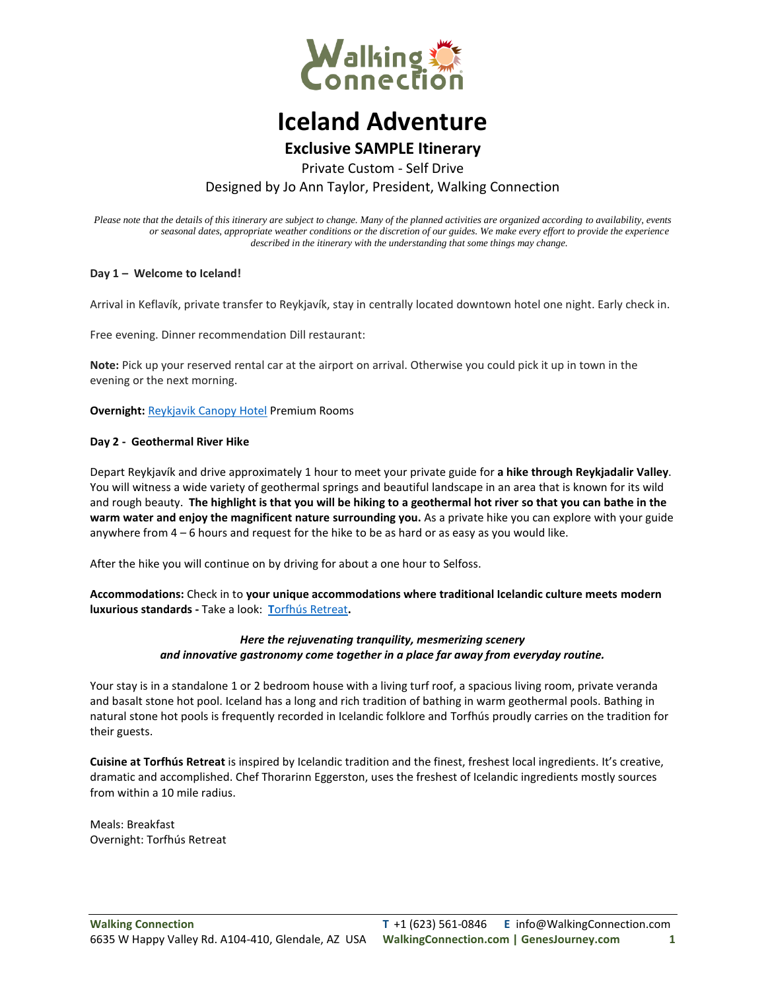

# **Iceland Adventure**

## **Exclusive SAMPLE Itinerary**

Private Custom - Self Drive

Designed by Jo Ann Taylor, President, Walking Connection

*Please note that the details of this itinerary are subject to change. Many of the planned activities are organized according to availability, events or seasonal dates, appropriate weather conditions or the discretion of our guides. We make every effort to provide the experience described in the itinerary with the understanding that some things may change.*

#### **Day 1 – Welcome to Iceland!**

Arrival in Keflavík, private transfer to Reykjavík, stay in centrally located downtown hotel one night. Early check in.

Free evening. Dinner recommendation Dill restaurant:

**Note:** Pick up your reserved rental car at the airport on arrival. Otherwise you could pick it up in town in the evening or the next morning.

**Overnight: [Reykjavik Canopy Hotel](mailto:info@walkingconnection.com) Premium Rooms** 

#### **Day 2 - Geothermal River Hike**

Depart Reykjavík and drive approximately 1 hour to meet your private guide for **a hike through Reykjadalir Valley**. You will witness a wide variety of geothermal springs and beautiful landscape in an area that is known for its wild and rough beauty. **The highlight is that you will be hiking to a geothermal hot river so that you can bathe in the warm water and enjoy the magnificent nature surrounding you.** As a private hike you can explore with your guide anywhere from 4 – 6 hours and request for the hike to be as hard or as easy as you would like.

After the hike you will continue on by driving for about a one hour to Selfoss.

**Accommodations:** Check in to **your unique accommodations where traditional Icelandic culture meets modern luxurious standards -** Take a look: **T**[orfhús Retreat](mailto:info@walkingconnection.com)**.**

#### *Here the rejuvenating tranquility, mesmerizing scenery and innovative gastronomy come together in a place far away from everyday routine.*

Your stay is in a standalone 1 or 2 bedroom house with a living turf roof, a spacious living room, private veranda and basalt stone hot pool. Iceland has a long and rich tradition of bathing in warm geothermal pools. Bathing in natural stone hot pools is frequently recorded in Icelandic folklore and Torfhús proudly carries on the tradition for their guests.

**Cuisine at Torfhús Retreat** is inspired by Icelandic tradition and the finest, freshest local ingredients. It's creative, dramatic and accomplished. Chef Thorarinn Eggerston, uses the freshest of Icelandic ingredients mostly sources from within a 10 mile radius.

Meals: Breakfast Overnight: Torfhús Retreat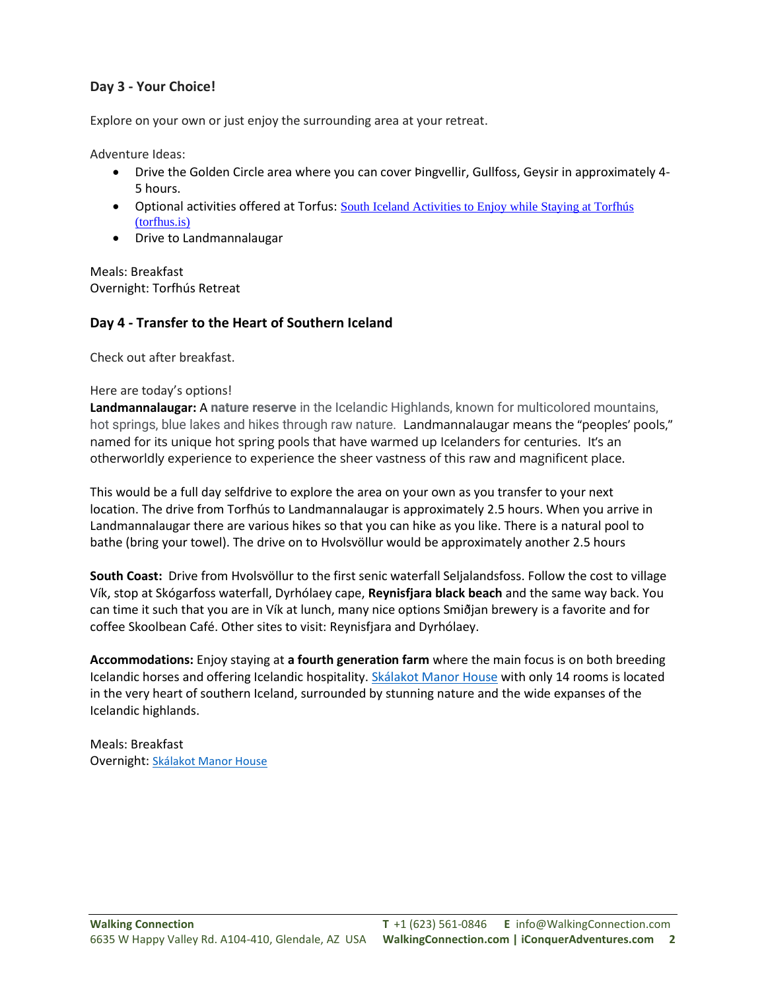### **Day 3 - Your Choice!**

Explore on your own or just enjoy the surrounding area at your retreat.

Adventure Ideas:

- Drive the Golden Circle area where you can cover Þingvellir, Gullfoss, Geysir in approximately 4- 5 hours.
- Optional activities offered at Torfus: South Iceland Activities to Enjoy while Staying at Torfhús [\(torfhus.is\)](mailto:info@walkingconnection.com)
- Drive to Landmannalaugar

Meals: Breakfast Overnight: Torfhús Retreat

### **Day 4 - Transfer to the Heart of Southern Iceland**

Check out after breakfast.

#### Here are today's options!

**Landmannalaugar:** A **nature reserve** in the Icelandic Highlands, known for multicolored mountains, hot springs, blue lakes and hikes through raw nature. Landmannalaugar means the "peoples' pools," named for its unique hot spring pools that have warmed up Icelanders for centuries. It's an otherworldly experience to experience the sheer vastness of this raw and magnificent place.

This would be a full day selfdrive to explore the area on your own as you transfer to your next location. The drive from Torfhús to Landmannalaugar is approximately 2.5 hours. When you arrive in Landmannalaugar there are various hikes so that you can hike as you like. There is a natural pool to bathe (bring your towel). The drive on to Hvolsvöllur would be approximately another 2.5 hours

**South Coast:** Drive from Hvolsvöllur to the first senic waterfall Seljalandsfoss. Follow the cost to village Vík, stop at Skógarfoss waterfall, Dyrhólaey cape, **Reynisfjara black beach** and the same way back. You can time it such that you are in Vík at lunch, many nice options Smiðjan brewery is a favorite and for coffee Skoolbean Café. Other sites to visit: Reynisfjara and Dyrhólaey.

**Accommodations:** Enjoy staying at **a fourth generation farm** where the main focus is on both breeding Icelandic horses and offering Icelandic hospitality. [Skálakot Manor House](mailto:info@walkingconnection.com) with only 14 rooms is located in the very heart of southern Iceland, surrounded by stunning nature and the wide expanses of the Icelandic highlands.

Meals: Breakfast Overnight: [Skálakot Manor House](mailto:info@walkingconnection.com)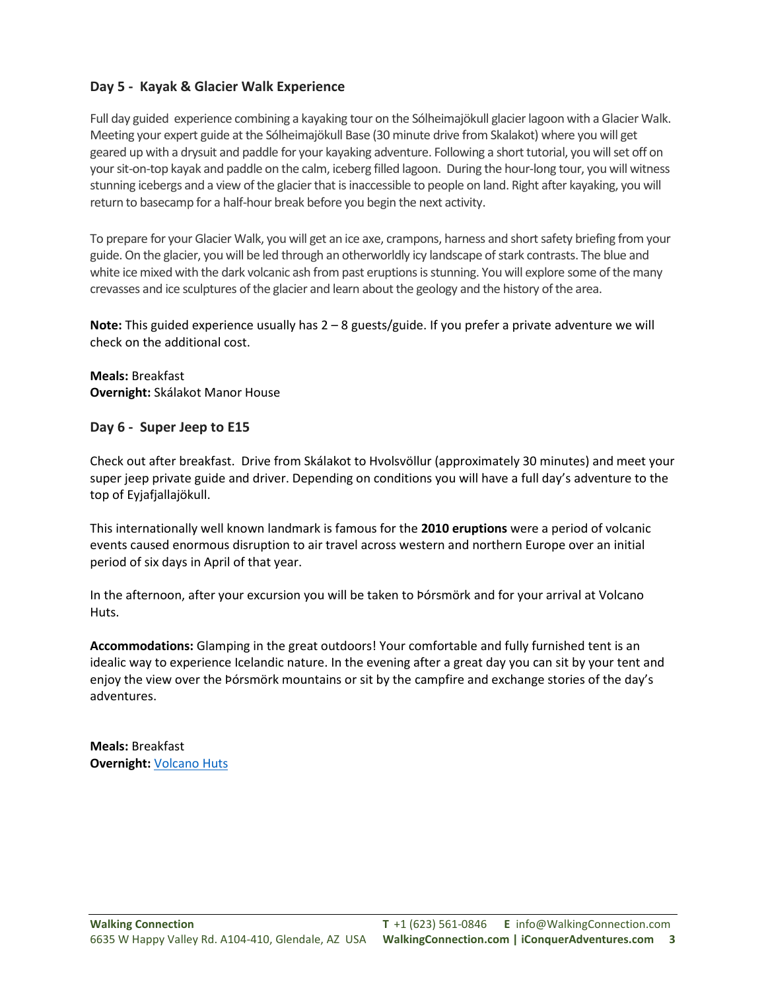#### **Day 5 - Kayak & Glacier Walk Experience**

Full day guided experience combining a kayaking tour on the Sólheimajökull glacier lagoon with a Glacier Walk. Meeting your expert guide at the Sólheimajökull Base (30 minute drive from Skalakot) where you will get geared up with a drysuit and paddle for your kayaking adventure. Following a short tutorial, you will set off on your sit-on-top kayak and paddle on the calm, iceberg filled lagoon. During the hour-long tour, you will witness stunning icebergs and a view of the glacier that is inaccessible to people on land. Right after kayaking, you will return to basecamp for a half-hour break before you begin the next activity.

To prepare for your Glacier Walk, you will get an ice axe, crampons, harness and short safety briefing from your guide. On the glacier, you will be led through an otherworldly icy landscape of stark contrasts. The blue and white ice mixed with the dark volcanic ash from past eruptions is stunning. You will explore some of the many crevasses and ice sculptures of the glacier and learn about the geology and the history of the area.

**Note:** This guided experience usually has 2 – 8 guests/guide. If you prefer a private adventure we will check on the additional cost.

**Meals:** Breakfast **Overnight:** Skálakot Manor House

#### **Day 6 - Super Jeep to E15**

Check out after breakfast. Drive from Skálakot to Hvolsvöllur (approximately 30 minutes) and meet your super jeep private guide and driver. Depending on conditions you will have a full day's adventure to the top of Eyjafjallajökull.

This internationally well known landmark is famous for the **2010 eruptions** were a period of volcanic events caused enormous disruption to air travel across western and northern Europe over an initial period of six days in April of that year.

In the afternoon, after your excursion you will be taken to Þórsmörk and for your arrival at Volcano Huts.

**Accommodations:** Glamping in the great outdoors! Your comfortable and fully furnished tent is an idealic way to experience Icelandic nature. In the evening after a great day you can sit by your tent and enjoy the view over the Þórsmörk mountains or sit by the campfire and exchange stories of the day's adventures.

**Meals:** Breakfast **Overnight:** [Volcano Huts](mailto:info@walkingconnection.com)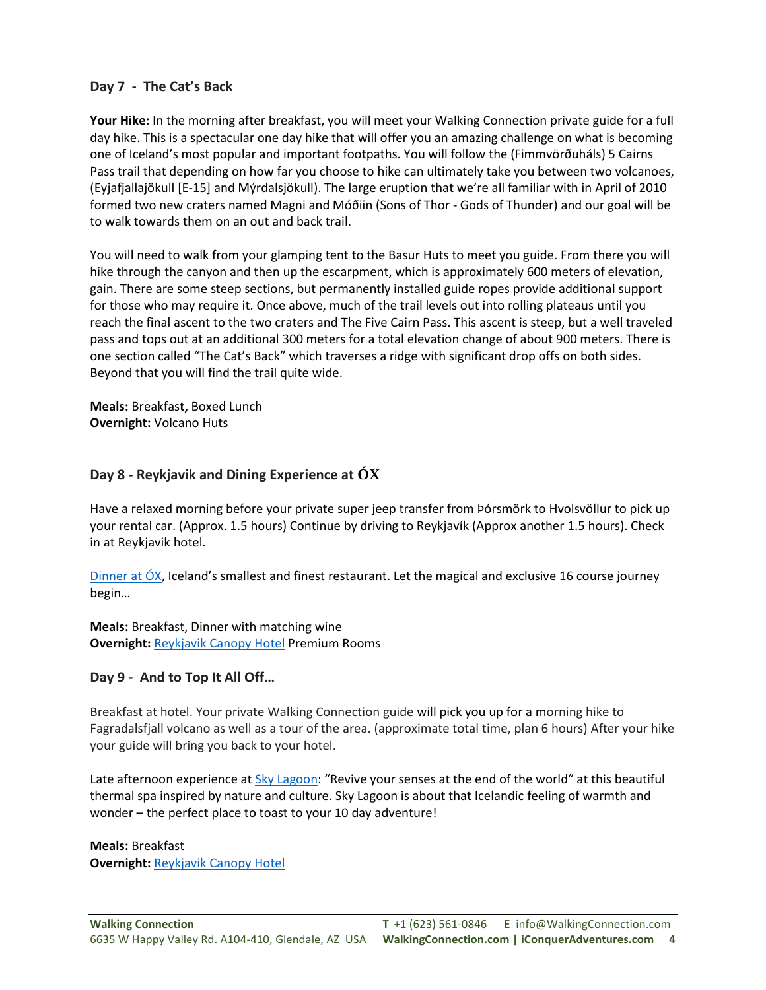#### **Day 7 - The Cat's Back**

**Your Hike:** In the morning after breakfast, you will meet your Walking Connection private guide for a full day hike. This is a spectacular one day hike that will offer you an amazing challenge on what is becoming one of Iceland's most popular and important footpaths. You will follow the (Fimmvörðuháls) 5 Cairns Pass trail that depending on how far you choose to hike can ultimately take you between two volcanoes, (Eyjafjallajökull [E-15] and Mýrdalsjökull). The large eruption that we're all familiar with in April of 2010 formed two new craters named Magni and Móðiin (Sons of Thor - Gods of Thunder) and our goal will be to walk towards them on an out and back trail.

You will need to walk from your glamping tent to the Basur Huts to meet you guide. From there you will hike through the canyon and then up the escarpment, which is approximately 600 meters of elevation, gain. There are some steep sections, but permanently installed guide ropes provide additional support for those who may require it. Once above, much of the trail levels out into rolling plateaus until you reach the final ascent to the two craters and The Five Cairn Pass. This ascent is steep, but a well traveled pass and tops out at an additional 300 meters for a total elevation change of about 900 meters. There is one section called "The Cat's Back" which traverses a ridge with significant drop offs on both sides. Beyond that you will find the trail quite wide.

**Meals:** Breakfas**t,** Boxed Lunch **Overnight:** Volcano Huts

### **Day 8 - Reykjavik and Dining Experience at ÓX**

Have a relaxed morning before your private super jeep transfer from Þórsmörk to Hvolsvöllur to pick up your rental car. (Approx. 1.5 hours) Continue by driving to Reykjavík (Approx another 1.5 hours). Check in at Reykjavik hotel.

Dinner at  $OX$ , Iceland's smallest and finest restaurant. Let the magical and exclusive 16 course journey begin…

**Meals:** Breakfast, Dinner with matching wine **Overnight:** [Reykjavik Canopy Hotel](mailto:info@walkingconnection.com) Premium Rooms

#### **Day 9 - And to Top It All Off…**

Breakfast at hotel. Your private Walking Connection guide will pick you up for a morning hike to Fagradalsfjall volcano as well as a tour of the area. (approximate total time, plan 6 hours) After your hike your guide will bring you back to your hotel.

Late afternoon experience at [Sky Lagoon](mailto:info@walkingconnection.com): "Revive your senses at the end of the world" at this beautiful thermal spa inspired by nature and culture. Sky Lagoon is about that Icelandic feeling of warmth and wonder – the perfect place to toast to your 10 day adventure!

**Meals:** Breakfast **Overnight:** [Reykjavik Canopy Hotel](mailto:info@walkingconnection.com)